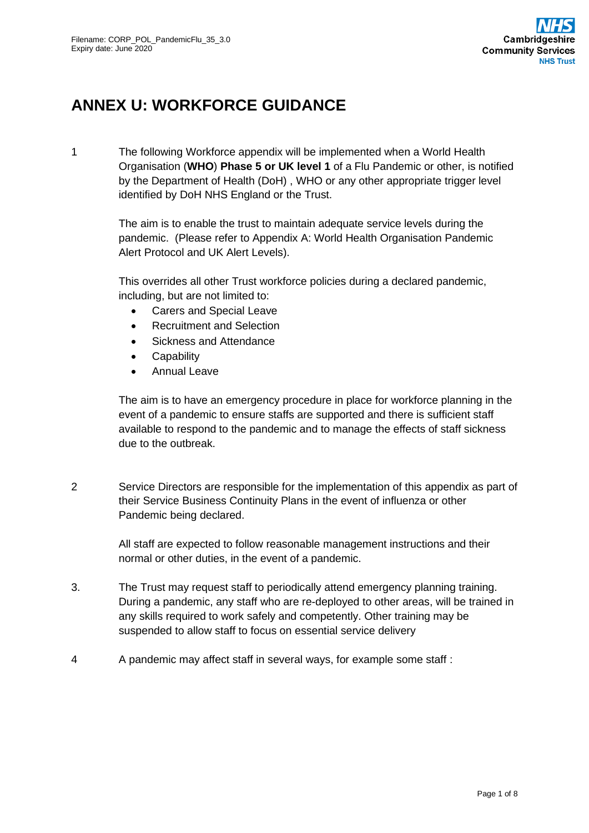# **ANNEX U: WORKFORCE GUIDANCE**

1 The following Workforce appendix will be implemented when a World Health Organisation (**WHO**) **Phase 5 or UK level 1** of a Flu Pandemic or other, is notified by the Department of Health (DoH) , WHO or any other appropriate trigger level identified by DoH NHS England or the Trust.

> The aim is to enable the trust to maintain adequate service levels during the pandemic. (Please refer to Appendix A: World Health Organisation Pandemic Alert Protocol and UK Alert Levels).

This overrides all other Trust workforce policies during a declared pandemic, including, but are not limited to:

- Carers and Special Leave
- Recruitment and Selection
- Sickness and Attendance
- Capability
- Annual Leave

The aim is to have an emergency procedure in place for workforce planning in the event of a pandemic to ensure staffs are supported and there is sufficient staff available to respond to the pandemic and to manage the effects of staff sickness due to the outbreak.

2 Service Directors are responsible for the implementation of this appendix as part of their Service Business Continuity Plans in the event of influenza or other Pandemic being declared.

> All staff are expected to follow reasonable management instructions and their normal or other duties, in the event of a pandemic.

- 3. The Trust may request staff to periodically attend emergency planning training. During a pandemic, any staff who are re-deployed to other areas, will be trained in any skills required to work safely and competently. Other training may be suspended to allow staff to focus on essential service delivery
- 4 A pandemic may affect staff in several ways, for example some staff :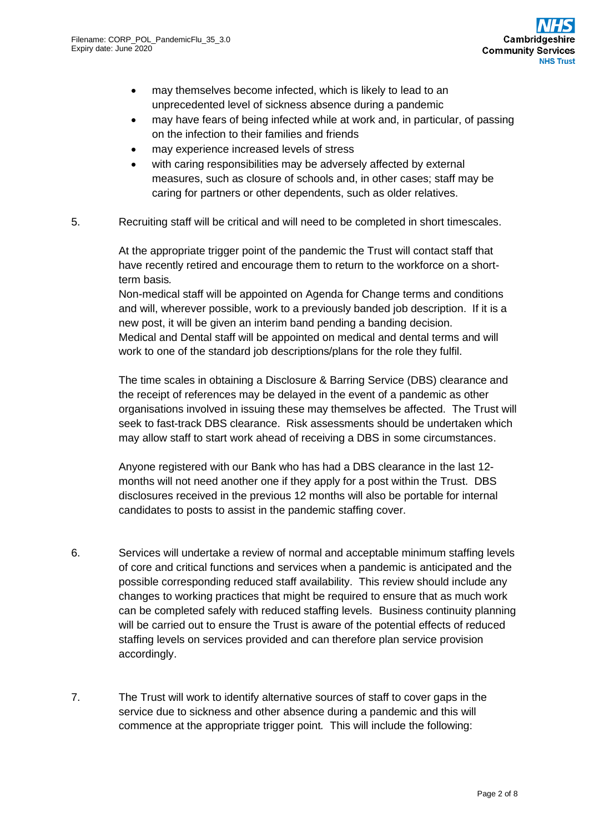- may themselves become infected, which is likely to lead to an unprecedented level of sickness absence during a pandemic
- may have fears of being infected while at work and, in particular, of passing on the infection to their families and friends
- may experience increased levels of stress
- with caring responsibilities may be adversely affected by external measures, such as closure of schools and, in other cases; staff may be caring for partners or other dependents, such as older relatives.
- 5. Recruiting staff will be critical and will need to be completed in short timescales.

At the appropriate trigger point of the pandemic the Trust will contact staff that have recently retired and encourage them to return to the workforce on a shortterm basis*.*

Non-medical staff will be appointed on Agenda for Change terms and conditions and will, wherever possible, work to a previously banded job description. If it is a new post, it will be given an interim band pending a banding decision. Medical and Dental staff will be appointed on medical and dental terms and will work to one of the standard job descriptions/plans for the role they fulfil.

The time scales in obtaining a Disclosure & Barring Service (DBS) clearance and the receipt of references may be delayed in the event of a pandemic as other organisations involved in issuing these may themselves be affected. The Trust will seek to fast-track DBS clearance. Risk assessments should be undertaken which may allow staff to start work ahead of receiving a DBS in some circumstances.

Anyone registered with our Bank who has had a DBS clearance in the last 12 months will not need another one if they apply for a post within the Trust. DBS disclosures received in the previous 12 months will also be portable for internal candidates to posts to assist in the pandemic staffing cover.

- 6. Services will undertake a review of normal and acceptable minimum staffing levels of core and critical functions and services when a pandemic is anticipated and the possible corresponding reduced staff availability. This review should include any changes to working practices that might be required to ensure that as much work can be completed safely with reduced staffing levels. Business continuity planning will be carried out to ensure the Trust is aware of the potential effects of reduced staffing levels on services provided and can therefore plan service provision accordingly.
- 7. The Trust will work to identify alternative sources of staff to cover gaps in the service due to sickness and other absence during a pandemic and this will commence at the appropriate trigger point*.* This will include the following: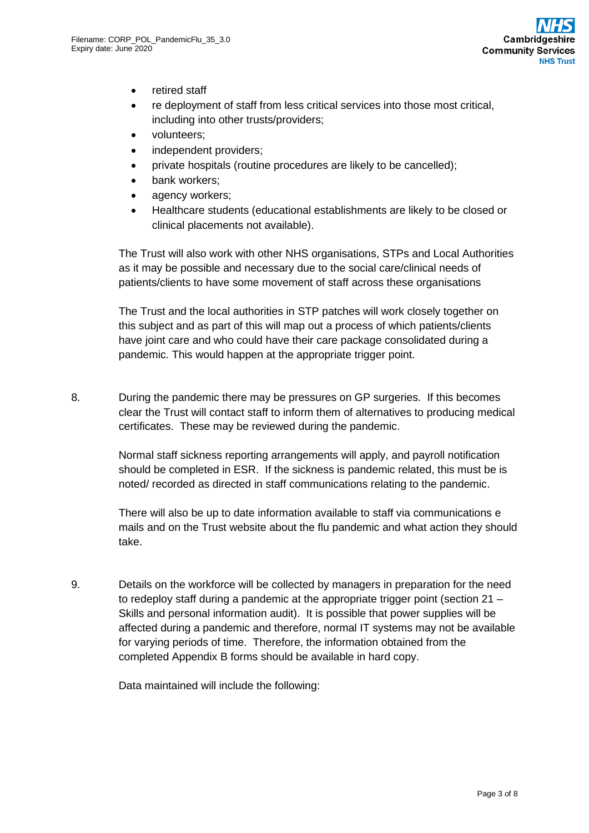- retired staff
- re deployment of staff from less critical services into those most critical, including into other trusts/providers;
- volunteers;
- independent providers:
- private hospitals (routine procedures are likely to be cancelled);
- bank workers:
- agency workers;
- Healthcare students (educational establishments are likely to be closed or clinical placements not available).

The Trust will also work with other NHS organisations, STPs and Local Authorities as it may be possible and necessary due to the social care/clinical needs of patients/clients to have some movement of staff across these organisations

The Trust and the local authorities in STP patches will work closely together on this subject and as part of this will map out a process of which patients/clients have joint care and who could have their care package consolidated during a pandemic. This would happen at the appropriate trigger point.

8. During the pandemic there may be pressures on GP surgeries. If this becomes clear the Trust will contact staff to inform them of alternatives to producing medical certificates. These may be reviewed during the pandemic.

> Normal staff sickness reporting arrangements will apply, and payroll notification should be completed in ESR. If the sickness is pandemic related, this must be is noted/ recorded as directed in staff communications relating to the pandemic.

There will also be up to date information available to staff via communications e mails and on the Trust website about the flu pandemic and what action they should take.

9. Details on the workforce will be collected by managers in preparation for the need to redeploy staff during a pandemic at the appropriate trigger point (section 21 – Skills and personal information audit).It is possible that power supplies will be affected during a pandemic and therefore, normal IT systems may not be available for varying periods of time. Therefore, the information obtained from the completed Appendix B forms should be available in hard copy.

Data maintained will include the following: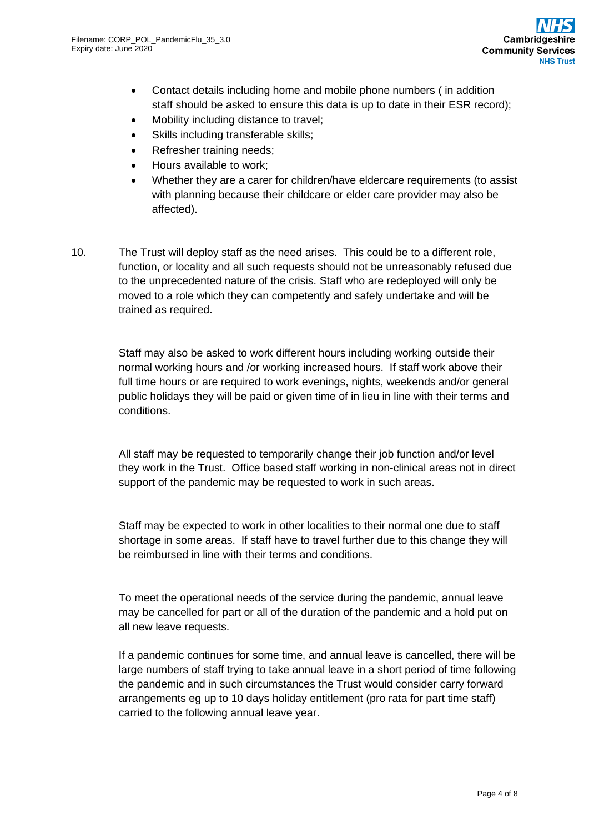- Contact details including home and mobile phone numbers ( in addition staff should be asked to ensure this data is up to date in their ESR record);
- Mobility including distance to travel;
- Skills including transferable skills;
- Refresher training needs:
- Hours available to work;
- Whether they are a carer for children/have eldercare requirements (to assist with planning because their childcare or elder care provider may also be affected).
- 10. The Trust will deploy staff as the need arises. This could be to a different role, function, or locality and all such requests should not be unreasonably refused due to the unprecedented nature of the crisis. Staff who are redeployed will only be moved to a role which they can competently and safely undertake and will be trained as required.

Staff may also be asked to work different hours including working outside their normal working hours and /or working increased hours. If staff work above their full time hours or are required to work evenings, nights, weekends and/or general public holidays they will be paid or given time of in lieu in line with their terms and conditions.

All staff may be requested to temporarily change their job function and/or level they work in the Trust. Office based staff working in non-clinical areas not in direct support of the pandemic may be requested to work in such areas.

Staff may be expected to work in other localities to their normal one due to staff shortage in some areas. If staff have to travel further due to this change they will be reimbursed in line with their terms and conditions.

To meet the operational needs of the service during the pandemic, annual leave may be cancelled for part or all of the duration of the pandemic and a hold put on all new leave requests.

If a pandemic continues for some time, and annual leave is cancelled, there will be large numbers of staff trying to take annual leave in a short period of time following the pandemic and in such circumstances the Trust would consider carry forward arrangements eg up to 10 days holiday entitlement (pro rata for part time staff) carried to the following annual leave year.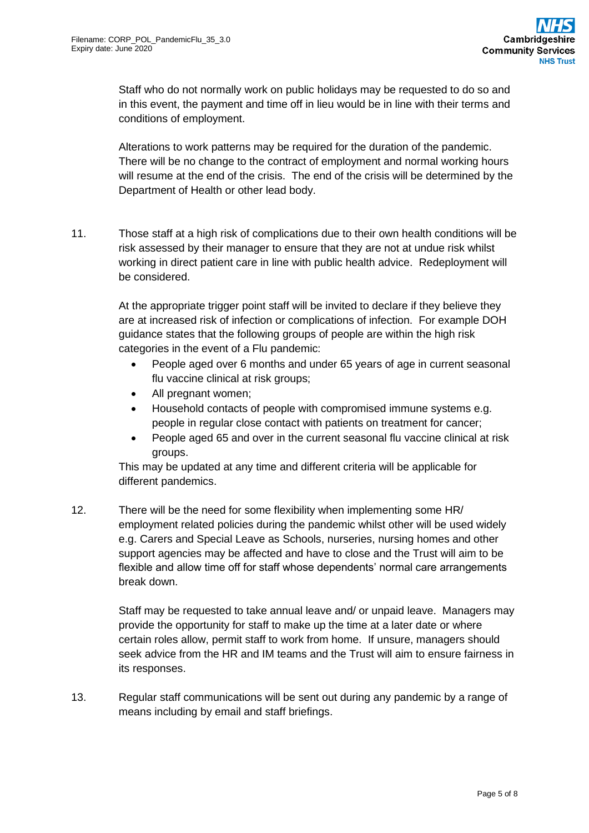Staff who do not normally work on public holidays may be requested to do so and in this event, the payment and time off in lieu would be in line with their terms and conditions of employment.

Alterations to work patterns may be required for the duration of the pandemic. There will be no change to the contract of employment and normal working hours will resume at the end of the crisis. The end of the crisis will be determined by the Department of Health or other lead body.

11. Those staff at a high risk of complications due to their own health conditions will be risk assessed by their manager to ensure that they are not at undue risk whilst working in direct patient care in line with public health advice. Redeployment will be considered.

> At the appropriate trigger point staff will be invited to declare if they believe they are at increased risk of infection or complications of infection. For example DOH guidance states that the following groups of people are within the high risk categories in the event of a Flu pandemic:

- People aged over 6 months and under 65 years of age in current seasonal flu vaccine clinical at risk groups;
- All pregnant women;
- Household contacts of people with compromised immune systems e.g. people in regular close contact with patients on treatment for cancer;
- People aged 65 and over in the current seasonal flu vaccine clinical at risk groups.

This may be updated at any time and different criteria will be applicable for different pandemics.

12. There will be the need for some flexibility when implementing some HR/ employment related policies during the pandemic whilst other will be used widely e.g. Carers and Special Leave as Schools, nurseries, nursing homes and other support agencies may be affected and have to close and the Trust will aim to be flexible and allow time off for staff whose dependents' normal care arrangements break down.

> Staff may be requested to take annual leave and/ or unpaid leave. Managers may provide the opportunity for staff to make up the time at a later date or where certain roles allow, permit staff to work from home. If unsure, managers should seek advice from the HR and IM teams and the Trust will aim to ensure fairness in its responses.

13. Regular staff communications will be sent out during any pandemic by a range of means including by email and staff briefings.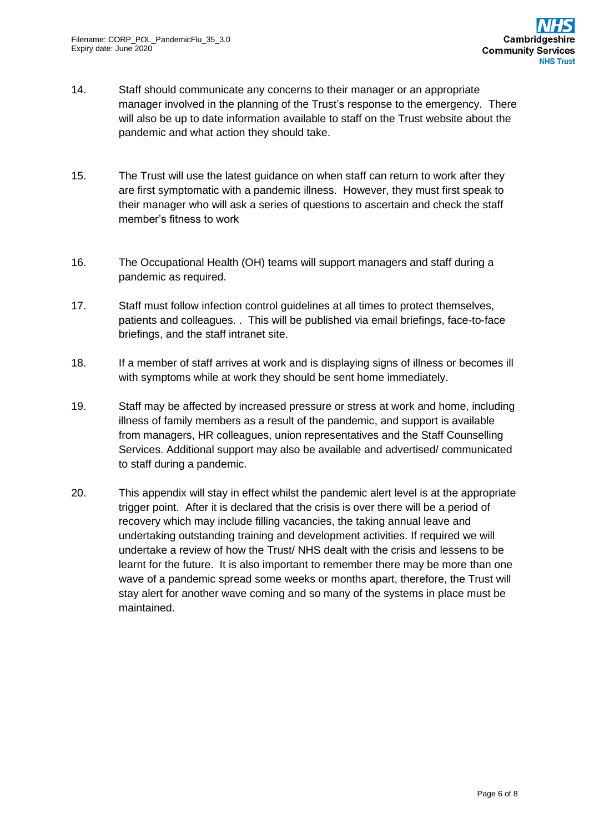- 14. Staff should communicate any concerns to their manager or an appropriate manager involved in the planning of the Trust's response to the emergency. There will also be up to date information available to staff on the Trust website about the pandemic and what action they should take.
- 15. The Trust will use the latest guidance on when staff can return to work after they are first symptomatic with a pandemic illness. However, they must first speak to their manager who will ask a series of questions to ascertain and check the staff member's fitness to work
- 16. The Occupational Health (OH) teams will support managers and staff during a pandemic as required.
- 17. Staff must follow infection control guidelines at all times to protect themselves, patients and colleagues. . This will be published via email briefings, face-to-face briefings, and the staff intranet site.
- 18. If a member of staff arrives at work and is displaying signs of illness or becomes ill with symptoms while at work they should be sent home immediately.
- 19. Staff may be affected by increased pressure or stress at work and home, including illness of family members as a result of the pandemic, and support is available from managers, HR colleagues, union representatives and the Staff Counselling Services. Additional support may also be available and advertised/ communicated to staff during a pandemic.
- 20. This appendix will stay in effect whilst the pandemic alert level is at the appropriate trigger point. After it is declared that the crisis is over there will be a period of recovery which may include filling vacancies, the taking annual leave and undertaking outstanding training and development activities. If required we will undertake a review of how the Trust/ NHS dealt with the crisis and lessens to be learnt for the future. It is also important to remember there may be more than one wave of a pandemic spread some weeks or months apart, therefore, the Trust will stay alert for another wave coming and so many of the systems in place must be maintained.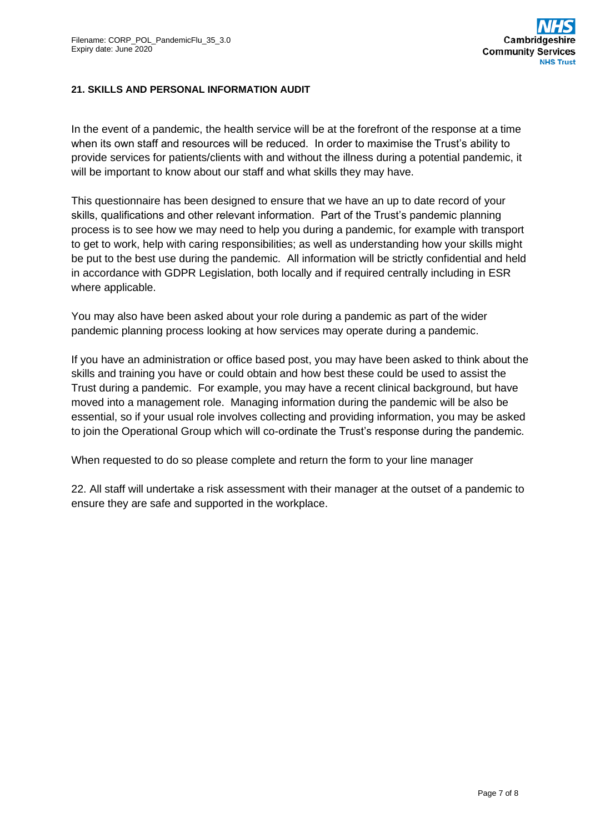## **21. SKILLS AND PERSONAL INFORMATION AUDIT**

In the event of a pandemic, the health service will be at the forefront of the response at a time when its own staff and resources will be reduced. In order to maximise the Trust's ability to provide services for patients/clients with and without the illness during a potential pandemic, it will be important to know about our staff and what skills they may have.

This questionnaire has been designed to ensure that we have an up to date record of your skills, qualifications and other relevant information. Part of the Trust's pandemic planning process is to see how we may need to help you during a pandemic, for example with transport to get to work, help with caring responsibilities; as well as understanding how your skills might be put to the best use during the pandemic. All information will be strictly confidential and held in accordance with GDPR Legislation, both locally and if required centrally including in ESR where applicable.

You may also have been asked about your role during a pandemic as part of the wider pandemic planning process looking at how services may operate during a pandemic.

If you have an administration or office based post, you may have been asked to think about the skills and training you have or could obtain and how best these could be used to assist the Trust during a pandemic. For example, you may have a recent clinical background, but have moved into a management role. Managing information during the pandemic will be also be essential, so if your usual role involves collecting and providing information, you may be asked to join the Operational Group which will co-ordinate the Trust's response during the pandemic.

When requested to do so please complete and return the form to your line manager

22. All staff will undertake a risk assessment with their manager at the outset of a pandemic to ensure they are safe and supported in the workplace.